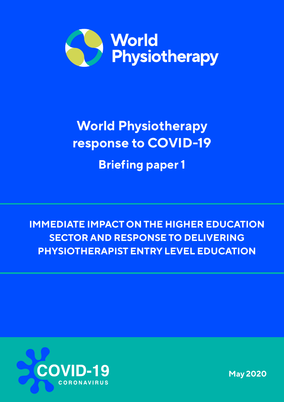

# **World Physiotherapy response to COVID-19 Briefing paper 1**

**IMMEDIATE IMPACT ON THE HIGHER EDUCATION SECTOR AND RESPONSE TO DELIVERING PHYSIOTHERAPIST ENTRY LEVEL EDUCATION**



**May 2020**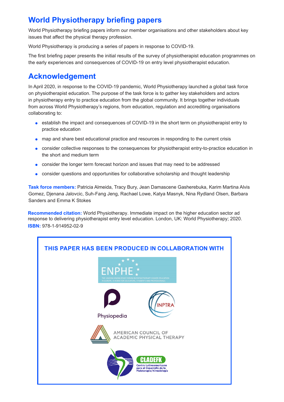## **World Physiotherapy briefing papers**

World Physiotherapy briefing papers inform our member organisations and other stakeholders about key issues that affect the physical therapy profession.

World Physiotherapy is producing a series of papers in response to COVID-19.

The first briefing paper presents the initial results of the survey of physiotherapist education programmes on the early experiences and consequences of COVID-19 on entry level physiotherapist education.

## **Acknowledgement**

In April 2020, in response to the COVID-19 pandemic, World Physiotherapy launched a global task force on physiotherapist education. The purpose of the task force is to gather key stakeholders and actors in physiotherapy entry to practice education from the global community. It brings together individuals from across World Physiotherapy's regions, from education, regulation and accrediting organisations collaborating to:

- establish the impact and consequences of COVID-19 in the short term on physiotherapist entry to practice education
- map and share best educational practice and resources in responding to the current crisis
- consider collective responses to the consequences for physiotherapist entry-to-practice education in the short and medium term
- consider the longer term forecast horizon and issues that may need to be addressed
- consider questions and opportunities for collaborative scholarship and thought leadership

**Task force members:** Patricia Almeida, Tracy Bury, Jean Damascene Gasherebuka, Karim Martina Alvis Gomez, Djenana Jalovcic, Suh-Fang Jeng, Rachael Lowe, Katya Masnyk, Nina Rydland Olsen, Barbara Sanders and Emma K Stokes

**Recommended citation:** World Physiotherapy. Immediate impact on the higher education sector ad response to delivering physiotherapist entry level education. London, UK: World Physiotherapy; 2020. **ISBN:** 978-1-914952-02-9

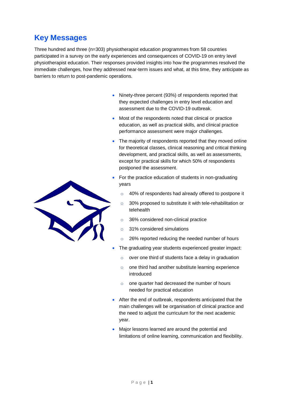## **Key Messages**

Three hundred and three (n=303) physiotherapist education programmes from 58 countries participated in a survey on the early experiences and consequences of COVID-19 on entry level physiotherapist education. Their responses provided insights into how the programmes resolved the immediate challenges, how they addressed near-term issues and what, at this time, they anticipate as barriers to return to post-pandemic operations.

- Ninety-three percent (93%) of respondents reported that they expected challenges in entry level education and assessment due to the COVID-19 outbreak.
- Most of the respondents noted that clinical or practice education, as well as practical skills, and clinical practice performance assessment were major challenges.
- The majority of respondents reported that they moved online for theoretical classes, clinical reasoning and critical thinking development, and practical skills, as well as assessments, except for practical skills for which 50% of respondents postponed the assessment.
- For the practice education of students in non-graduating years
	- o 40% of respondents had already offered to postpone it
	- o 30% proposed to substitute it with tele-rehabilitation or telehealth
	- o 36% considered non-clinical practice
	- o 31% considered simulations
	- o 26% reported reducing the needed number of hours
- The graduating year students experienced greater impact:
	- o over one third of students face a delay in graduation
	- o one third had another substitute learning experience introduced
	- o one quarter had decreased the number of hours needed for practical education
- After the end of outbreak, respondents anticipated that the main challenges will be organisation of clinical practice and the need to adjust the curriculum for the next academic year.
- Major lessons learned are around the potential and limitations of online learning, communication and flexibility.

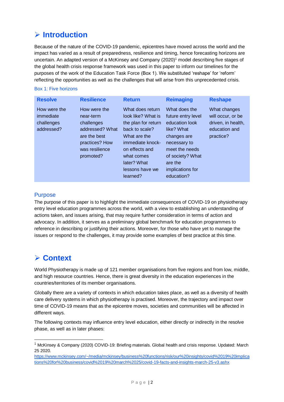# **Introduction**

Because of the nature of the COVID-19 pandemic, epicentres have moved across the world and the impact has varied as a result of preparedness, resilience and timing, hence forecasting horizons are uncertain. An adapted version of a McKinsey and Company (2020)<sup>1</sup> model describing five stages of the global health crisis response framework was used in this paper to inform our timelines for the purposes of the work of the Education Task Force (Box 1). We substituted 'reshape' for 'reform' reflecting the opportunities as well as the challenges that will arise from this unprecedented crisis.

#### Box 1: Five horizons

| <b>Resolve</b>                                        | <b>Resilience</b>                                                                                                           | <b>Return</b>                                                                                                                                                                                     | <b>Reimaging</b>                                                                                                                                                                      | <b>Reshape</b>                                                                        |
|-------------------------------------------------------|-----------------------------------------------------------------------------------------------------------------------------|---------------------------------------------------------------------------------------------------------------------------------------------------------------------------------------------------|---------------------------------------------------------------------------------------------------------------------------------------------------------------------------------------|---------------------------------------------------------------------------------------|
| How were the<br>immediate<br>challenges<br>addressed? | How were the<br>near-term<br>challenges<br>addressed? What<br>are the best<br>practices? How<br>was resilience<br>promoted? | What does return<br>look like? What is<br>the plan for return<br>back to scale?<br>What are the<br>immediate knock-<br>on effects and<br>what comes<br>later? What<br>lessons have we<br>learned? | What does the<br>future entry level<br>education look<br>like? What<br>changes are<br>necessary to<br>meet the needs<br>of society? What<br>are the<br>implications for<br>education? | What changes<br>will occur, or be<br>driven, in health,<br>education and<br>practice? |

#### **Purpose**

The purpose of this paper is to highlight the immediate consequences of COVID-19 on physiotherapy entry level education programmes across the world, with a view to establishing an understanding of actions taken, and issues arising, that may require further consideration in terms of action and advocacy. In addition, it serves as a preliminary global benchmark for education programmes to reference in describing or justifying their actions. Moreover, for those who have yet to manage the issues or respond to the challenges, it may provide some examples of best practice at this time.

## **Context**

1

World Physiotherapy is made up of 121 member organisations from five regions and from low, middle, and high resource countries. Hence, there is great diversity in the education experiences in the countries/territories of its member organisations.

Globally there are a variety of contexts in which education takes place, as well as a diversity of health care delivery systems in which physiotherapy is practised. Moreover, the trajectory and impact over time of COVID-19 means that as the epicentre moves, societies and communities will be affected in different ways.

The following contexts may influence entry level education, either directly or indirectly in the resolve phase, as well as in later phases:

[https://www.mckinsey.com/~/media/mckinsey/business%20functions/risk/our%20insights/covid%2019%20implica](https://www.mckinsey.com/~/media/mckinsey/business%20functions/risk/our%20insights/covid%2019%20implications%20for%20business/covid%2019%20march%2025/covid-19-facts-and-insights-march-25-v3.ashx) [tions%20for%20business/covid%2019%20march%2025/covid-19-facts-and-insights-march-25-v3.ashx](https://www.mckinsey.com/~/media/mckinsey/business%20functions/risk/our%20insights/covid%2019%20implications%20for%20business/covid%2019%20march%2025/covid-19-facts-and-insights-march-25-v3.ashx)

<sup>1</sup> McKinsey & Company (2020) COVID-19: Briefing materials. Global health and crisis response. Updated: March 25 2020.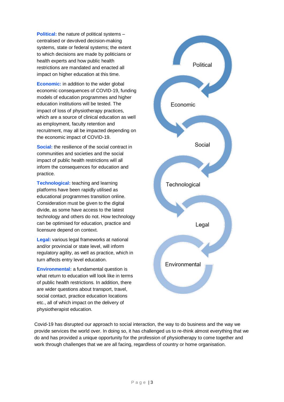**Political:** the nature of political systems – centralised or devolved decision-making systems, state or federal systems; the extent to which decisions are made by politicians or health experts and how public health restrictions are mandated and enacted all impact on higher education at this time.

**Economic:** in addition to the wider global economic consequences of COVID-19, funding models of education programmes and higher education institutions will be tested. The impact of loss of physiotherapy practices, which are a source of clinical education as well as employment, faculty retention and recruitment, may all be impacted depending on the economic impact of COVID-19.

**Social:** the resilience of the social contract in communities and societies and the social impact of public health restrictions will all inform the consequences for education and practice.

**Technological:** teaching and learning platforms have been rapidly utilised as educational programmes transition online. Consideration must be given to the digital divide, as some have access to the latest technology and others do not. How technology can be optimised for education, practice and licensure depend on context.

**Legal:** various legal frameworks at national and/or provincial or state level, will inform regulatory agility, as well as practice, which in turn affects entry level education.

**Environmental:** a fundamental question is what return to education will look like in terms of public health restrictions. In addition, there are wider questions about transport, travel, social contact, practice education locations etc., all of which impact on the delivery of physiotherapist education.



Covid-19 has disrupted our approach to social interaction, the way to do business and the way we provide services the world over. In doing so, it has challenged us to re-think almost everything that we do and has provided a unique opportunity for the profession of physiotherapy to come together and work through challenges that we are all facing, regardless of country or home organisation.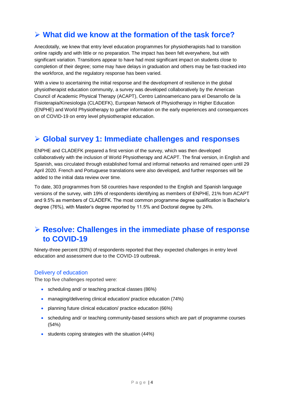## **What did we know at the formation of the task force?**

Anecdotally, we knew that entry level education programmes for physiotherapists had to transition online rapidly and with little or no preparation. The impact has been felt everywhere, but with significant variation. Transitions appear to have had most significant impact on students close to completion of their degree; some may have delays in graduation and others may be fast-tracked into the workforce, and the regulatory response has been varied.

With a view to ascertaining the initial response and the development of resilience in the global physiotherapist education community, a survey was developed collaboratively by the American Council of Academic Physical Therapy (ACAPT), Centro Latinoamericano para el Desarrollo de la Fisioterapia/Kinesiologia (CLADEFK), European Network of Physiotherapy in Higher Education (ENPHE) and World Physiotherapy to gather information on the early experiences and consequences on of COVID-19 on entry level physiotherapist education.

## **Global survey 1: Immediate challenges and responses**

ENPHE and CLADEFK prepared a first version of the survey, which was then developed collaboratively with the inclusion of World Physiotherapy and ACAPT. The final version, in English and Spanish, was circulated through established formal and informal networks and remained open until 29 April 2020. French and Portuguese translations were also developed, and further responses will be added to the initial data review over time.

To date, 303 programmes from 58 countries have responded to the English and Spanish language versions of the survey, with 19% of respondents identifying as members of ENPHE, 21% from ACAPT and 9.5% as members of CLADEFK. The most common programme degree qualification is Bachelor's degree (76%), with Master's degree reported by 11.5% and Doctoral degree by 24%.

## **Resolve: Challenges in the immediate phase of response to COVID-19**

Ninety-three percent (93%) of respondents reported that they expected challenges in entry level education and assessment due to the COVID-19 outbreak.

#### Delivery of education

The top five challenges reported were:

- scheduling and/ or teaching practical classes (86%)
- managing/delivering clinical education/ practice education (74%)
- planning future clinical education/ practice education (66%)
- scheduling and/ or teaching community-based sessions which are part of programme courses (54%)
- students coping strategies with the situation (44%)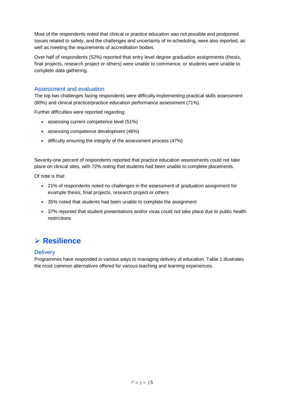Most of the respondents noted that clinical or practice education was not possible and postponed. Issues related to safety, and the challenges and uncertainty of re-scheduling, were also reported, as well as meeting the requirements of accreditation bodies.

Over half of respondents (52%) reported that entry level degree graduation assignments (thesis, final projects, research project or others) were unable to commence, or students were unable to complete data gathering.

### Assessment and evaluation

The top two challenges facing respondents were difficulty implementing practical skills assessment (80%) and clinical practice/practice education performance assessment (71%).

Further difficulties were reported regarding:

- assessing current competence level (51%)
- assessing competence development (46%)
- difficulty ensuring the integrity of the assessment process (47%)

Seventy-one percent of respondents reported that practice education assessments could not take place on clinical sites, with 72% noting that students had been unable to complete placements.

Of note is that:

- 21% of respondents noted no challenges in the assessment of graduation assignment for example thesis, final projects, research project or others
- 35% noted that students had been unable to complete the assignment
- 37% reported that student presentations and/or vivas could not take place due to public health restrictions

## **Resilience**

#### **Delivery**

Programmes have responded in various ways to managing delivery of education. Table 1 illustrates the most common alternatives offered for various teaching and learning experiences.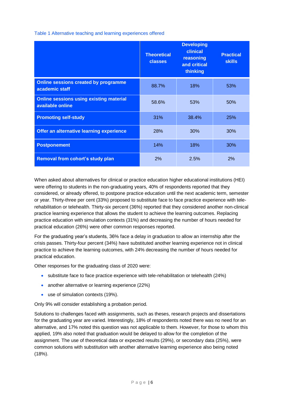Table 1 Alternative teaching and learning experiences offered

|                                                                    | <b>Theoretical</b><br><b>classes</b> | <b>Developing</b><br>clinical<br>reasoning<br>and critical<br>thinking | <b>Practical</b><br><b>skills</b> |
|--------------------------------------------------------------------|--------------------------------------|------------------------------------------------------------------------|-----------------------------------|
| <b>Online sessions created by programme</b><br>academic staff      | 88.7%                                | 18%                                                                    | 53%                               |
| <b>Online sessions using existing material</b><br>available online | 58.6%                                | 53%                                                                    | 50%                               |
| <b>Promoting self-study</b>                                        | 31%                                  | 38.4%                                                                  | 25%                               |
| Offer an alternative learning experience                           | 28%                                  | 30%                                                                    | 30%                               |
| <b>Postponement</b>                                                | 14%                                  | 18%                                                                    | 30%                               |
| <b>Removal from cohort's study plan</b>                            | 2%                                   | 2.5%                                                                   | 2%                                |

When asked about alternatives for clinical or practice education higher educational institutions (HEI) were offering to students in the non-graduating years, 40% of respondents reported that they considered, or already offered, to postpone practice education until the next academic term, semester or year. Thirty-three per cent (33%) proposed to substitute face to face practice experience with telerehabilitation or telehealth. Thirty-six percent (36%) reported that they considered another non-clinical practice learning experience that allows the student to achieve the learning outcomes. Replacing practice education with simulation contexts (31%) and decreasing the number of hours needed for practical education (26%) were other common responses reported.

For the graduating year's students, 36% face a delay in graduation to allow an internship after the crisis passes. Thirty-four percent (34%) have substituted another learning experience not in clinical practice to achieve the learning outcomes, with 24% decreasing the number of hours needed for practical education.

Other responses for the graduating class of 2020 were:

- substitute face to face practice experience with tele-rehabilitation or telehealth (24%)
- another alternative or learning experience (22%)
- use of simulation contexts (19%).

Only 9% will consider establishing a probation period.

Solutions to challenges faced with assignments, such as theses, research projects and dissertations for the graduating year are varied. Interestingly, 18% of respondents noted there was no need for an alternative, and 17% noted this question was not applicable to them. However, for those to whom this applied, 19% also noted that graduation would be delayed to allow for the completion of the assignment. The use of theoretical data or expected results (29%), or secondary data (25%), were common solutions with substitution with another alternative learning experience also being noted (18%).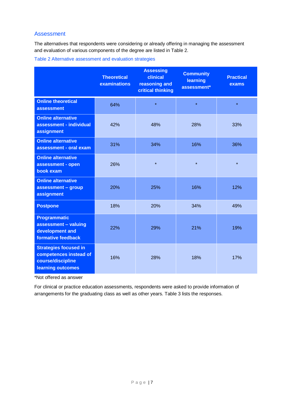## Assessment

The alternatives that respondents were considering or already offering in managing the assessment and evaluation of various components of the degree are listed in Table 2.

Table 2 Alternative assessment and evaluation strategies

|                                                                                                  | <b>Theoretical</b><br>examinations | <b>Assessing</b><br>clinical<br>reasoning and<br>critical thinking | <b>Community</b><br>learning<br>assessment* | <b>Practical</b><br>exams |
|--------------------------------------------------------------------------------------------------|------------------------------------|--------------------------------------------------------------------|---------------------------------------------|---------------------------|
| <b>Online theoretical</b><br><b>assessment</b>                                                   | 64%                                | $\star$                                                            | $\star$                                     | $\star$                   |
| <b>Online alternative</b><br>assessment - individual<br>assignment                               | 42%                                | 48%                                                                | 28%                                         | 33%                       |
| <b>Online alternative</b><br>assessment - oral exam                                              | 31%                                | 34%                                                                | 16%                                         | 36%                       |
| <b>Online alternative</b><br>assessment - open<br>book exam                                      | 26%                                | $\star$                                                            | $\star$                                     | $\star$                   |
| <b>Online alternative</b><br>assessment - group<br>assignment                                    | 20%                                | 25%                                                                | 16%                                         | 12%                       |
| <b>Postpone</b>                                                                                  | 18%                                | 20%                                                                | 34%                                         | 49%                       |
| <b>Programmatic</b><br>assessment - valuing<br>development and<br>formative feedback             | 22%                                | 29%                                                                | 21%                                         | 19%                       |
| <b>Strategies focused in</b><br>competences instead of<br>course/discipline<br>learning outcomes | 16%                                | 28%                                                                | 18%                                         | 17%                       |

\*Not offered as answer

For clinical or practice education assessments, respondents were asked to provide information of arrangements for the graduating class as well as other years. Table 3 lists the responses.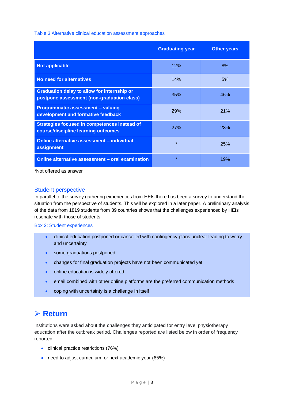Table 3 Alternative clinical education assessment approaches

|                                                                                                  | <b>Graduating year</b> | <b>Other years</b> |
|--------------------------------------------------------------------------------------------------|------------------------|--------------------|
| <b>Not applicable</b>                                                                            | 12%                    | 8%                 |
| No need for alternatives                                                                         | 14%                    | 5%                 |
| <b>Graduation delay to allow for internship or</b><br>postpone assessment (non-graduation class) | 35%                    | 46%                |
| <b>Programmatic assessment - valuing</b><br>development and formative feedback                   | 29%                    | 21%                |
| <b>Strategies focused in competences instead of</b><br>course/discipline learning outcomes       | <b>27%</b>             | <b>23%</b>         |
| Online alternative assessment - individual<br>assignment                                         | $\star$                | <b>25%</b>         |
| Online alternative assessment - oral examination                                                 | $\star$                | 19%                |

\*Not offered as answer

#### Student perspective

In parallel to the survey gathering experiences from HEIs there has been a survey to understand the situation from the perspective of students. This will be explored in a later paper. A preliminary analysis of the data from 1819 students from 39 countries shows that the challenges experienced by HEIs resonate with those of students.

Box 2: Student experiences

- clinical education postponed or cancelled with contingency plans unclear leading to worry and uncertainty
- some graduations postponed
- changes for final graduation projects have not been communicated yet
- online education is widely offered
- email combined with other online platforms are the preferred communication methods
- coping with uncertainty is a challenge in itself

## **Return**

Institutions were asked about the challenges they anticipated for entry level physiotherapy education after the outbreak period. Challenges reported are listed below in order of frequency reported:

- clinical practice restrictions (76%)
- need to adjust curriculum for next academic year (65%)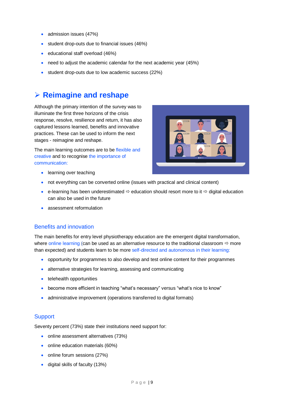- admission issues (47%)
- student drop-outs due to financial issues (46%)
- educational staff overload (46%)
- need to adjust the academic calendar for the next academic year (45%)
- student drop-outs due to low academic success (22%)

## **Reimagine and reshape**

Although the primary intention of the survey was to illuminate the first three horizons of the crisis response, resolve, resilience and return, it has also captured lessons learned, benefits and innovative practices. These can be used to inform the next stages - reimagine and reshape.

The main learning outcomes are to be flexible and creative and to recognise the importance of communication:



- **•** learning over teaching
- not everything can be converted online (issues with practical and clinical content)
- e-learning has been underestimated  $\Rightarrow$  education should resort more to it  $\Rightarrow$  digital education can also be used in the future
- assessment reformulation

#### Benefits and innovation

The main benefits for entry level physiotherapy education are the emergent digital transformation, where online learning (can be used as an alternative resource to the traditional classroom  $\Rightarrow$  more than expected) and students learn to be more self-directed and autonomous in their learning:

- opportunity for programmes to also develop and test online content for their programmes
- alternative strategies for learning, assessing and communicating
- **•** telehealth opportunities
- become more efficient in teaching "what's necessary" versus "what's nice to know"
- administrative improvement (operations transferred to digital formats)

#### **Support**

Seventy percent (73%) state their institutions need support for:

- online assessment alternatives (73%)
- online education materials (60%)
- online forum sessions (27%)
- digital skills of faculty (13%)